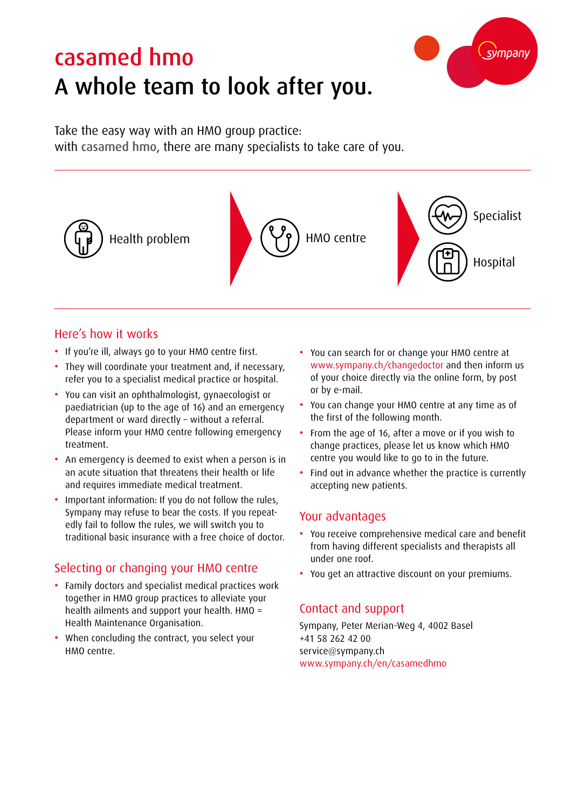# casamed hmo A whole team to look after you.



Take the easy way with an HMO group practice: with casamed hmo, there are many specialists to take care of you.



#### Here's how it works

- If you're ill, always go to your HMO centre first.
- They will coordinate your treatment and, if necessary, refer you to a specialist medical practice or hospital.
- You can visit an ophthalmologist, gynaecologist or paediatrician (up to the age of 16) and an emergency department or ward directly – without a referral. Please inform your HMO centre following emergency treatment.
- An emergency is deemed to exist when a person is in an acute situation that threatens their health or life and requires immediate medical treatment.
- Important information: If you do not follow the rules, Sympany may refuse to bear the costs. If you repeatedly fail to follow the rules, we will switch you to traditional basic insurance with a free choice of doctor.

### Selecting or changing your HMO centre

- Family doctors and specialist medical practices work together in HMO group practices to alleviate your health ailments and support your health. HMO = Health Maintenance Organisation.
- When concluding the contract, you select your HMO centre.
- You can search for or change your HMO centre at www.sympany.ch/changedoctor and then inform us of your choice directly via the online form, by post or by e-mail.
- You can change your HMO centre at any time as of the first of the following month.
- From the age of 16, after a move or if you wish to change practices, please let us know which HMO centre you would like to go to in the future.
- Find out in advance whether the practice is currently accepting new patients.

#### Your advantages

- You receive comprehensive medical care and benefit from having different specialists and therapists all under one roof.
- You get an attractive discount on your premiums.

#### Contact and support

Sympany, Peter Merian-Weg 4, 4002 Basel +41 58 262 42 00 service@sympany.ch www.sympany.ch/en/casamedhmo